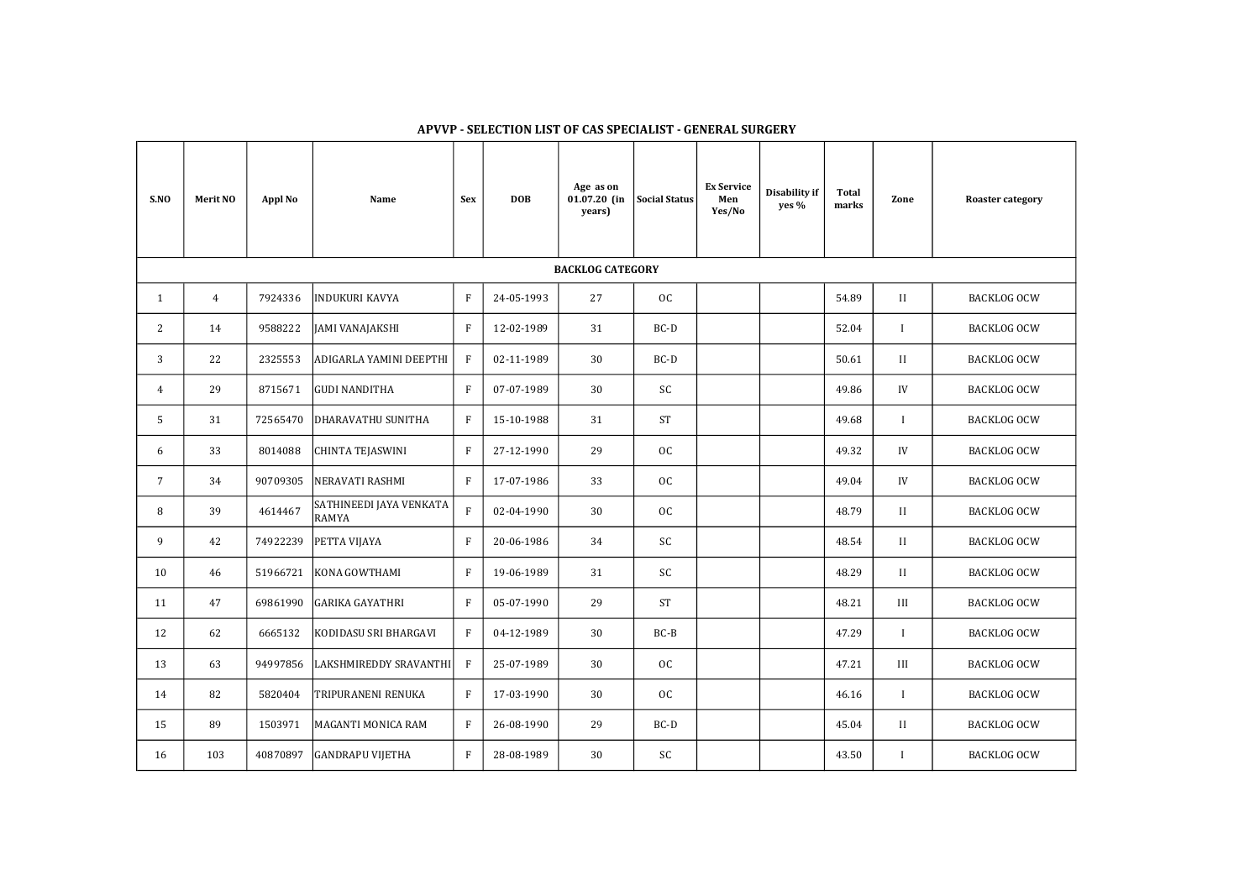| S.NO                    | <b>Merit NO</b> | <b>Appl No</b> | Name                                    | <b>Sex</b>                | <b>DOB</b> | Age as on<br>$01.07.20$ (in<br>years) | <b>Social Status</b> | <b>Ex Service</b><br>Men<br>Yes/No | Disability if<br>yes % | <b>Total</b><br>marks | Zone         | <b>Roaster category</b> |
|-------------------------|-----------------|----------------|-----------------------------------------|---------------------------|------------|---------------------------------------|----------------------|------------------------------------|------------------------|-----------------------|--------------|-------------------------|
| <b>BACKLOG CATEGORY</b> |                 |                |                                         |                           |            |                                       |                      |                                    |                        |                       |              |                         |
| $\mathbf{1}$            | $\overline{4}$  | 7924336        | <b>INDUKURI KAVYA</b>                   | $\rm F$                   | 24-05-1993 | 27                                    | OC                   |                                    |                        | 54.89                 | II           | <b>BACKLOG OCW</b>      |
| $\overline{c}$          | 14              | 9588222        | <b>JAMI VANAJAKSHI</b>                  | $\boldsymbol{\mathrm{F}}$ | 12-02-1989 | 31                                    | BC-D                 |                                    |                        | 52.04                 | $\mathbf{I}$ | <b>BACKLOG OCW</b>      |
| 3                       | 22              | 2325553        | ADIGARLA YAMINI DEEPTHI                 | $\boldsymbol{\mathrm{F}}$ | 02-11-1989 | 30                                    | $BC-D$               |                                    |                        | 50.61                 | II           | <b>BACKLOG OCW</b>      |
| $\overline{4}$          | 29              | 8715671        | <b>GUDI NANDITHA</b>                    | $\rm F$                   | 07-07-1989 | 30                                    | <b>SC</b>            |                                    |                        | 49.86                 | IV           | <b>BACKLOG OCW</b>      |
| 5                       | 31              | 72565470       | DHARAVATHU SUNITHA                      | $\rm F$                   | 15-10-1988 | 31                                    | <b>ST</b>            |                                    |                        | 49.68                 | $\mathbf I$  | <b>BACKLOG OCW</b>      |
| 6                       | 33              | 8014088        | <b>CHINTA TEJASWINI</b>                 | $\rm F$                   | 27-12-1990 | 29                                    | OC                   |                                    |                        | 49.32                 | ${\rm IV}$   | <b>BACKLOG OCW</b>      |
| $7\overline{ }$         | 34              | 90709305       | NERAVATI RASHMI                         | $\boldsymbol{\mathrm{F}}$ | 17-07-1986 | 33                                    | OC                   |                                    |                        | 49.04                 | IV           | <b>BACKLOG OCW</b>      |
| 8                       | 39              | 4614467        | SATHINEEDI JAYA VENKATA<br><b>RAMYA</b> | $\rm F$                   | 02-04-1990 | 30                                    | OC                   |                                    |                        | 48.79                 | II           | <b>BACKLOG OCW</b>      |
| 9                       | 42              | 74922239       | PETTA VIJAYA                            | $\rm F$                   | 20-06-1986 | 34                                    | <b>SC</b>            |                                    |                        | 48.54                 | $\rm II$     | <b>BACKLOG OCW</b>      |
| 10                      | 46              | 51966721       | KONA GOWTHAMI                           | $\rm F$                   | 19-06-1989 | 31                                    | <b>SC</b>            |                                    |                        | 48.29                 | $\rm II$     | <b>BACKLOG OCW</b>      |
| 11                      | 47              | 69861990       | <b>GARIKA GAYATHRI</b>                  | $\rm F$                   | 05-07-1990 | 29                                    | <b>ST</b>            |                                    |                        | 48.21                 | $\rm III$    | <b>BACKLOG OCW</b>      |
| 12                      | 62              | 6665132        | KODIDASU SRI BHARGAVI                   | $\mathbf{F}$              | 04-12-1989 | 30                                    | $BC-B$               |                                    |                        | 47.29                 | $\mathbf{I}$ | <b>BACKLOG OCW</b>      |
| 13                      | 63              | 94997856       | LAKSHMIREDDY SRAVANTHI                  | $\boldsymbol{\mathrm{F}}$ | 25-07-1989 | 30                                    | OC                   |                                    |                        | 47.21                 | $\rm III$    | <b>BACKLOG OCW</b>      |
| 14                      | 82              | 5820404        | TRIPURANENI RENUKA                      | $\boldsymbol{\mathrm{F}}$ | 17-03-1990 | 30                                    | OC                   |                                    |                        | 46.16                 | $\mathbf{I}$ | <b>BACKLOG OCW</b>      |
| 15                      | 89              | 1503971        | MAGANTI MONICA RAM                      | $\rm F$                   | 26-08-1990 | 29                                    | $BC-D$               |                                    |                        | 45.04                 | II           | <b>BACKLOG OCW</b>      |
| 16                      | 103             | 40870897       | <b>GANDRAPU VIJETHA</b>                 | $\rm F$                   | 28-08-1989 | 30                                    | $\mathsf{SC}$        |                                    |                        | 43.50                 | $\mathbf I$  | <b>BACKLOG OCW</b>      |

| Zone         | <b>Roaster category</b> |  |  |  |  |  |  |
|--------------|-------------------------|--|--|--|--|--|--|
|              |                         |  |  |  |  |  |  |
| $\mathbf{H}$ | <b>BACKLOG OCW</b>      |  |  |  |  |  |  |
| I            | <b>BACKLOG OCW</b>      |  |  |  |  |  |  |
| $\mathbf{H}$ | <b>BACKLOG OCW</b>      |  |  |  |  |  |  |
| IV           | <b>BACKLOG OCW</b>      |  |  |  |  |  |  |
| I            | <b>BACKLOG OCW</b>      |  |  |  |  |  |  |
| IV           | <b>BACKLOG OCW</b>      |  |  |  |  |  |  |
| IV           | <b>BACKLOG OCW</b>      |  |  |  |  |  |  |
| $\mathbf{H}$ | <b>BACKLOG OCW</b>      |  |  |  |  |  |  |
| $\mathbf{H}$ | <b>BACKLOG OCW</b>      |  |  |  |  |  |  |
| $\mathbf{I}$ | <b>BACKLOG OCW</b>      |  |  |  |  |  |  |
| Ш            | <b>BACKLOG OCW</b>      |  |  |  |  |  |  |
| I            | BACKLOG OCW             |  |  |  |  |  |  |
| III          | <b>BACKLOG OCW</b>      |  |  |  |  |  |  |
| I            | <b>BACKLOG OCW</b>      |  |  |  |  |  |  |
| $\mathbf{I}$ | <b>BACKLOG OCW</b>      |  |  |  |  |  |  |
| I            | <b>BACKLOG OCW</b>      |  |  |  |  |  |  |

## APVVP - SELECTION LIST OF CAS SPECIALIST - GENERAL SURGERY